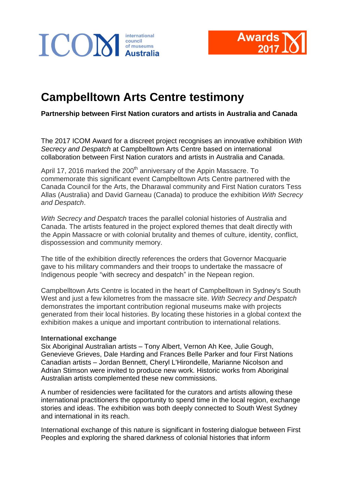



## **Campbelltown Arts Centre testimony**

**Partnership between First Nation curators and artists in Australia and Canada**

The 2017 ICOM Award for a discreet project recognises an innovative exhibition *With Secrecy and Despatch* at Campbelltown Arts Centre based on international collaboration between First Nation curators and artists in Australia and Canada.

April 17, 2016 marked the 200<sup>th</sup> anniversary of the Appin Massacre. To commemorate this significant event Campbelltown Arts Centre partnered with the Canada Council for the Arts, the Dharawal community and First Nation curators Tess Allas (Australia) and David Garneau (Canada) to produce the exhibition *With Secrecy and Despatch*.

*With Secrecy and Despatch* traces the parallel colonial histories of Australia and Canada. The artists featured in the project explored themes that dealt directly with the Appin Massacre or with colonial brutality and themes of culture, identity, conflict, dispossession and community memory.

The title of the exhibition directly references the orders that Governor Macquarie gave to his military commanders and their troops to undertake the massacre of Indigenous people "with secrecy and despatch" in the Nepean region.

Campbelltown Arts Centre is located in the heart of Campbelltown in Sydney's South West and just a few kilometres from the massacre site. *With Secrecy and Despatch*  demonstrates the important contribution regional museums make with projects generated from their local histories. By locating these histories in a global context the exhibition makes a unique and important contribution to international relations.

## **International exchange**

Six Aboriginal Australian artists – Tony Albert, Vernon Ah Kee, Julie Gough, Genevieve Grieves, Dale Harding and Frances Belle Parker and four First Nations Canadian artists – Jordan Bennett, Cheryl L'Hirondelle, Marianne Nicolson and Adrian Stimson were invited to produce new work. Historic works from Aboriginal Australian artists complemented these new commissions.

A number of residencies were facilitated for the curators and artists allowing these international practitioners the opportunity to spend time in the local region, exchange stories and ideas. The exhibition was both deeply connected to South West Sydney and international in its reach.

International exchange of this nature is significant in fostering dialogue between First Peoples and exploring the shared darkness of colonial histories that inform